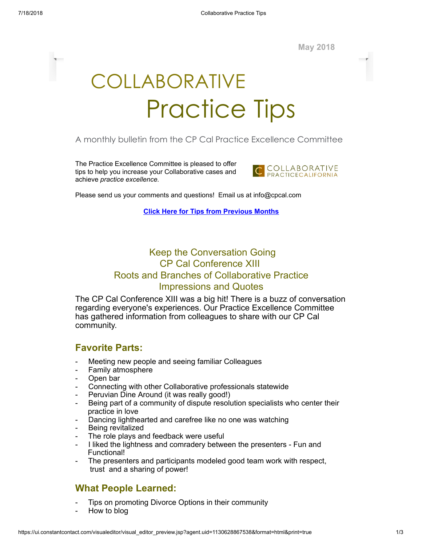

# COLLABORATIVE Practice Tips

#### A monthly bulletin from the CP Cal Practice Excellence Committee

The Practice Excellence Committee is pleased to offer tips to help you increase your Collaborative cases and achieve *practice excellence.*



Please send us your comments and questions! Email us at info@cpcal.com

**Click Here for Tips from [Previous](http://www.cpcal.com/for-professionals/practice-tips-newsletter/) Months**

## Keep the Conversation Going CP Cal Conference XIII Roots and Branches of Collaborative Practice Impressions and Quotes

The CP Cal Conference XIII was a big hit! There is a buzz of conversation regarding everyone's experiences. Our Practice Excellence Committee has gathered information from colleagues to share with our CP Cal community.

#### **Favorite Parts:**

- Meeting new people and seeing familiar Colleagues
- Family atmosphere
- Open bar
- Connecting with other Collaborative professionals statewide
- Peruvian Dine Around (it was really good!)
- Being part of a community of dispute resolution specialists who center their practice in love
- Dancing lighthearted and carefree like no one was watching
- Being revitalized
- The role plays and feedback were useful
- I liked the lightness and comradery between the presenters Fun and Functional!
- The presenters and participants modeled good team work with respect, trust and a sharing of power!

#### **What People Learned:**

- Tips on promoting Divorce Options in their community
- How to blog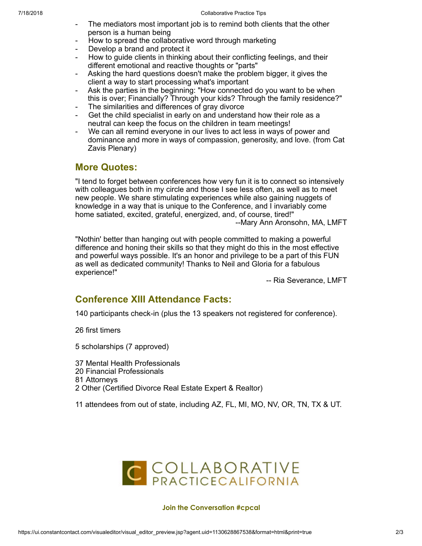- The mediators most important job is to remind both clients that the other person is a human being
- How to spread the collaborative word through marketing
- Develop a brand and protect it
- How to guide clients in thinking about their conflicting feelings, and their different emotional and reactive thoughts or "parts"
- Asking the hard questions doesn't make the problem bigger, it gives the client a way to start processing what's important
- Ask the parties in the beginning: "How connected do you want to be when this is over; Financially? Through your kids? Through the family residence?"
- The similarities and differences of gray divorce
- Get the child specialist in early on and understand how their role as a neutral can keep the focus on the children in team meetings!
- We can all remind everyone in our lives to act less in ways of power and dominance and more in ways of compassion, generosity, and love. (from Cat Zavis Plenary)

### **More Quotes:**

"I tend to forget between conferences how very fun it is to connect so intensively with colleagues both in my circle and those I see less often, as well as to meet new people. We share stimulating experiences while also gaining nuggets of knowledge in a way that is unique to the Conference, and I invariably come home satiated, excited, grateful, energized, and, of course, tired!" --Mary Ann Aronsohn, MA, LMFT

"Nothin' better than hanging out with people committed to making a powerful difference and honing their skills so that they might do this in the most effective and powerful ways possible. It's an honor and privilege to be a part of this FUN as well as dedicated community! Thanks to Neil and Gloria for a fabulous experience!"

-- Ria Severance, LMFT

#### **Conference XIII Attendance Facts:**

140 participants check-in (plus the 13 speakers not registered for conference).

26 first timers

5 scholarships (7 approved)

 Mental Health Professionals Financial Professionals Attorneys Other (Certified Divorce Real Estate Expert & Realtor)

11 attendees from out of state, including AZ, FL, MI, MO, NV, OR, TN, TX & UT.



#### **Join the Conversation #cpcal**